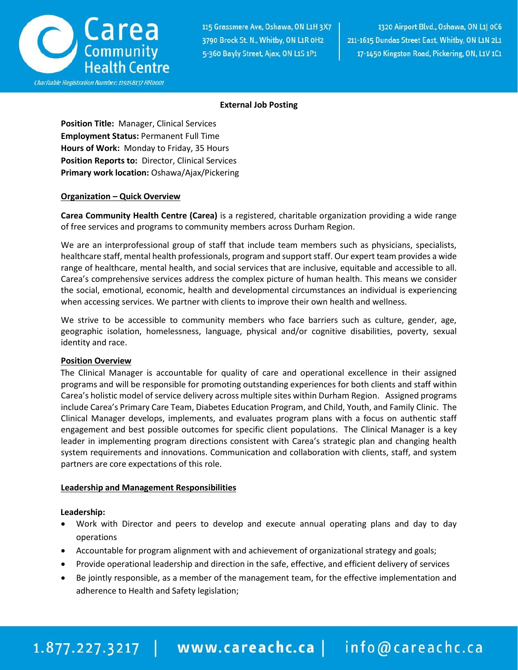

#### **External Job Posting**

**Position Title:** Manager, Clinical Services **Employment Status:** Permanent Full Time **Hours of Work:** Monday to Friday, 35 Hours **Position Reports to:** Director, Clinical Services **Primary work location:** Oshawa/Ajax/Pickering

#### **Organization – Quick Overview**

**Carea Community Health Centre (Carea)** is a registered, charitable organization providing a wide range of free services and programs to community members across Durham Region.

We are an interprofessional group of staff that include team members such as physicians, specialists, healthcare staff, mental health professionals, program and support staff. Our expert team provides a wide range of healthcare, mental health, and social services that are inclusive, equitable and accessible to all. Carea's comprehensive services address the complex picture of human health. This means we consider the social, emotional, economic, health and developmental circumstances an individual is experiencing when accessing services. We partner with clients to improve their own health and wellness.

We strive to be accessible to community members who face barriers such as culture, gender, age, geographic isolation, homelessness, language, physical and/or cognitive disabilities, poverty, sexual identity and race.

## **Position Overview**

 The Clinical Manager is accountable for quality of care and operational excellence in their assigned programs and will be responsible for promoting outstanding experiences for both clients and staff within Carea's holistic model of service delivery across multiple sites within Durham Region. Assigned programs include Carea's Primary Care Team, Diabetes Education Program, and Child, Youth, and Family Clinic. The Clinical Manager develops, implements, and evaluates program plans with a focus on authentic staff engagement and best possible outcomes for specific client populations. The Clinical Manager is a key leader in implementing program directions consistent with Carea's strategic plan and changing health system requirements and innovations. Communication and collaboration with clients, staff, and system partners are core expectations of this role.

#### **Leadership and Management Responsibilities**

## **Leadership:**

- Work with Director and peers to develop and execute annual operating plans and day to day operations
- Accountable for program alignment with and achievement of organizational strategy and goals;
- Provide operational leadership and direction in the safe, effective, and efficient delivery of services
- Be jointly responsible, as a member of the management team, for the effective implementation and adherence to Health and Safety legislation;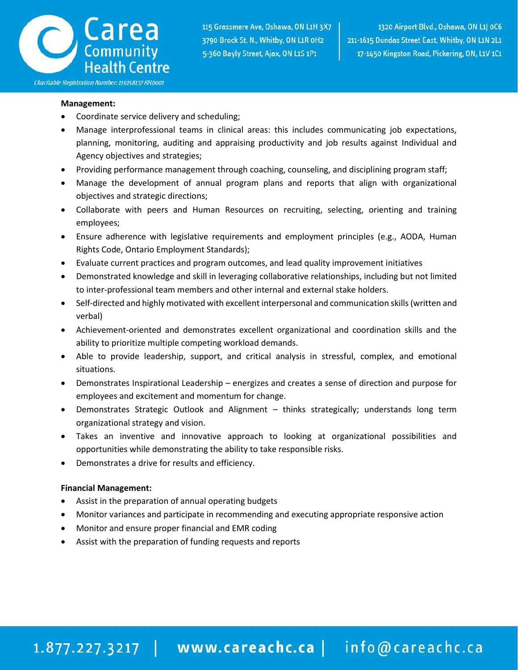

#### **Management:**

- Coordinate service delivery and scheduling;
- Manage interprofessional teams in clinical areas: this includes communicating job expectations, planning, monitoring, auditing and appraising productivity and job results against Individual and Agency objectives and strategies;
- Providing performance management through coaching, counseling, and disciplining program staff;
- Manage the development of annual program plans and reports that align with organizational objectives and strategic directions;
- Collaborate with peers and Human Resources on recruiting, selecting, orienting and training employees;
- Ensure adherence with legislative requirements and employment principles (e.g., AODA, Human Rights Code, Ontario Employment Standards);
- Evaluate current practices and program outcomes, and lead quality improvement initiatives
- Demonstrated knowledge and skill in leveraging collaborative relationships, including but not limited to inter-professional team members and other internal and external stake holders.
- Self-directed and highly motivated with excellent interpersonal and communication skills (written and verbal)
- Achievement-oriented and demonstrates excellent organizational and coordination skills and the ability to prioritize multiple competing workload demands.
- Able to provide leadership, support, and critical analysis in stressful, complex, and emotional situations.
- Demonstrates Inspirational Leadership energizes and creates a sense of direction and purpose for employees and excitement and momentum for change.
- Demonstrates Strategic Outlook and Alignment thinks strategically; understands long term organizational strategy and vision.
- Takes an inventive and innovative approach to looking at organizational possibilities and opportunities while demonstrating the ability to take responsible risks.
- Demonstrates a drive for results and efficiency.

#### **Financial Management:**

- Assist in the preparation of annual operating budgets
- Monitor variances and participate in recommending and executing appropriate responsive action
- Monitor and ensure proper financial and EMR coding
- Assist with the preparation of funding requests and reports

## 1.877.227.3217 | www.careachc.ca | info@careachc.ca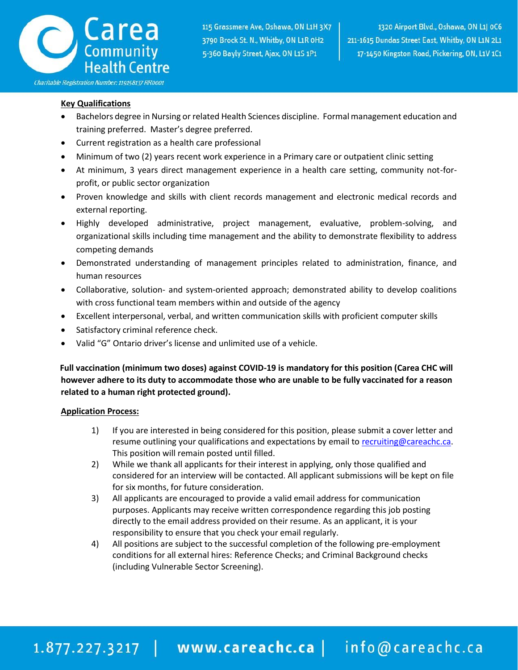

## **Key Qualifications**

- Bachelors degree in Nursing or related Health Sciences discipline. Formal management education and training preferred. Master's degree preferred.
- Current registration as a health care professional
- Minimum of two (2) years recent work experience in a Primary care or outpatient clinic setting
- At minimum, 3 years direct management experience in a health care setting, community not-forprofit, or public sector organization
- Proven knowledge and skills with client records management and electronic medical records and external reporting.
- Highly developed administrative, project management, evaluative, problem-solving, and organizational skills including time management and the ability to demonstrate flexibility to address competing demands
- Demonstrated understanding of management principles related to administration, finance, and human resources
- Collaborative, solution- and system-oriented approach; demonstrated ability to develop coalitions with cross functional team members within and outside of the agency
- Excellent interpersonal, verbal, and written communication skills with proficient computer skills
- Satisfactory criminal reference check.
- Valid "G" Ontario driver's license and unlimited use of a vehicle.

 **Full vaccination (minimum two doses) against COVID-19 is mandatory for this position (Carea CHC will however adhere to its duty to accommodate those who are unable to be fully vaccinated for a reason related to a human right protected ground).**

## **Application Process:**

- 1) If you are interested in being considered for this position, please submit a cover letter and resume outlining your qualifications and expectations by email t[o recruiting@careachc.ca.](mailto:recruiting@careachc.ca) This position will remain posted until filled.
- 2) While we thank all applicants for their interest in applying, only those qualified and considered for an interview will be contacted. All applicant submissions will be kept on file for six months, for future consideration.
- 3) All applicants are encouraged to provide a valid email address for communication purposes. Applicants may receive written correspondence regarding this job posting directly to the email address provided on their resume. As an applicant, it is your responsibility to ensure that you check your email regularly.
- 4) All positions are subject to the successful completion of the following pre-employment conditions for all external hires: Reference Checks; and Criminal Background checks (including Vulnerable Sector Screening).

# 1.877.227.3217 | www.careachc.ca | info@careachc.ca